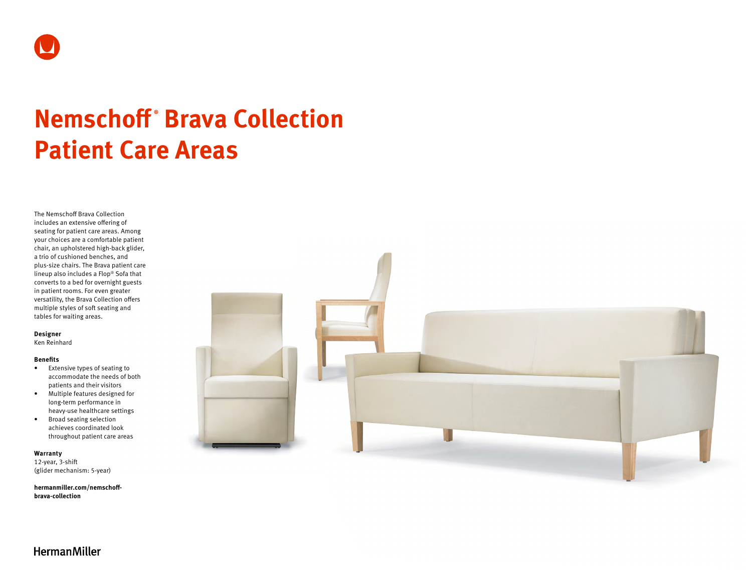

# **Nemschoff ® Brava Collection Patient Care Areas**

The Nemschoff Brava Collection includes an extensive offering of seating for patient care areas. Among your choices are a comfortable patient chair, an upholstered high-back glider, a trio of cushioned benches, and plus-size chairs. The Brava patient care lineup also includes a Flop® Sofa that converts to a bed for overnight guests in patient rooms. For even greater versatility, the Brava Collection offers multiple styles of soft seating and tables for waiting areas.

## **Designer**

Ken Reinhard

#### **Benefits**

- Extensive types of seating to accommodate the needs of both patients and their visitors
- Multiple features designed for long-term performance in heavy-use healthcare settings
- Broad seating selection achieves coordinated look throughout patient care areas

#### **Warranty**

12-year, 3-shift (glider mechanism: 5-year)

**[hermanmiller.com/nemschoff](http://hermanmiller.com/nemschoff-brava-collection)[brava-collection](http://hermanmiller.com/nemschoff-brava-collection)**



**HermanMiller**